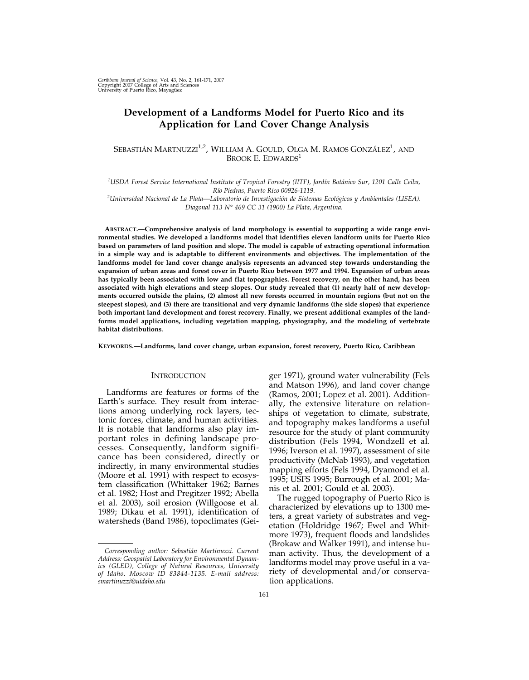# **Development of a Landforms Model for Puerto Rico and its Application for Land Cover Change Analysis**

# SEBASTIÁN MARTNUZZI $^{1,2}$ , William A. Gould, Olga M. Ramos González $^1$ , and BROOK E. EDWARDS<sup>1</sup>

*1 USDA Forest Service International Institute of Tropical Forestry (IITF), Jardín Botánico Sur, 1201 Calle Ceiba, Río Piedras, Puerto Rico 00926-1119.*

*2 Universidad Nacional de La Plata—Laboratorio de Investigación de Sistemas Ecológicos y Ambientales (LISEA). Diagonal 113 N° 469 CC 31 (1900) La Plata, Argentina.*

**ABSTRACT.—Comprehensive analysis of land morphology is essential to supporting a wide range environmental studies. We developed a landforms model that identifies eleven landform units for Puerto Rico based on parameters of land position and slope. The model is capable of extracting operational information in a simple way and is adaptable to different environments and objectives. The implementation of the landforms model for land cover change analysis represents an advanced step towards understanding the expansion of urban areas and forest cover in Puerto Rico between 1977 and 1994. Expansion of urban areas has typically been associated with low and flat topographies. Forest recovery, on the other hand, has been associated with high elevations and steep slopes. Our study revealed that (1) nearly half of new developments occurred outside the plains, (2) almost all new forests occurred in mountain regions (but not on the steepest slopes), and (3) there are transitional and very dynamic landforms (the side slopes) that experience both important land development and forest recovery. Finally, we present additional examples of the landforms model applications, including vegetation mapping, physiography, and the modeling of vertebrate habitat distributions**.

**KEYWORDS.—Landforms, land cover change, urban expansion, forest recovery, Puerto Rico, Caribbean**

### **INTRODUCTION**

Landforms are features or forms of the Earth's surface. They result from interactions among underlying rock layers, tectonic forces, climate, and human activities. It is notable that landforms also play important roles in defining landscape processes. Consequently, landform significance has been considered, directly or indirectly, in many environmental studies (Moore et al. 1991) with respect to ecosystem classification (Whittaker 1962; Barnes et al. 1982; Host and Pregitzer 1992; Abella et al. 2003), soil erosion (Willgoose et al. 1989; Dikau et al. 1991), identification of watersheds (Band 1986), topoclimates (Gei-

ger 1971), ground water vulnerability (Fels and Matson 1996), and land cover change (Ramos, 2001; Lopez et al. 2001). Additionally, the extensive literature on relationships of vegetation to climate, substrate, and topography makes landforms a useful resource for the study of plant community distribution (Fels 1994, Wondzell et al. 1996; Iverson et al. 1997), assessment of site productivity (McNab 1993), and vegetation mapping efforts (Fels 1994, Dyamond et al. 1995; USFS 1995; Burrough et al. 2001; Manis et al. 2001; Gould et al. 2003).

The rugged topography of Puerto Rico is characterized by elevations up to 1300 meters, a great variety of substrates and vegetation (Holdridge 1967; Ewel and Whitmore 1973), frequent floods and landslides (Brokaw and Walker 1991), and intense human activity. Thus, the development of a landforms model may prove useful in a variety of developmental and/or conservation applications.

*Corresponding author: Sebastián Martinuzzi*. *Current Address: Geospatial Laboratory for Environmental Dynamics (GLED), College of Natural Resources, University of Idaho. Moscow ID 83844-1135. E-mail address: smartinuzzi@uidaho.edu*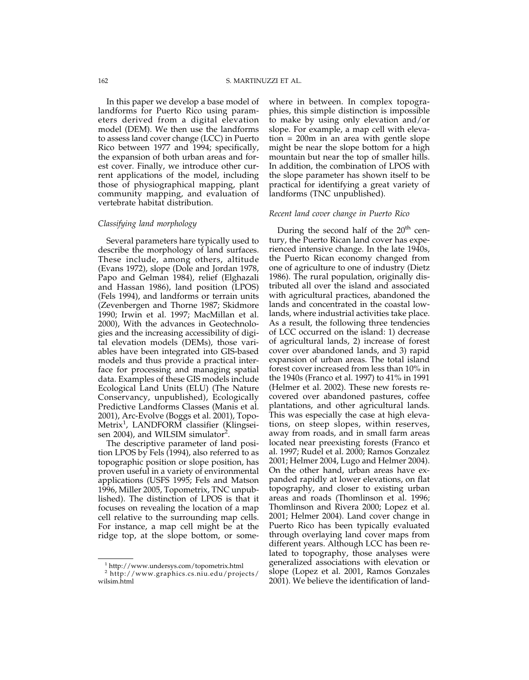In this paper we develop a base model of landforms for Puerto Rico using parameters derived from a digital elevation model (DEM). We then use the landforms to assess land cover change (LCC) in Puerto Rico between 1977 and 1994; specifically, the expansion of both urban areas and forest cover. Finally, we introduce other current applications of the model, including those of physiographical mapping, plant community mapping, and evaluation of vertebrate habitat distribution.

### *Classifying land morphology*

Several parameters hare typically used to describe the morphology of land surfaces. These include, among others, altitude (Evans 1972), slope (Dole and Jordan 1978, Papo and Gelman 1984), relief (Elghazali and Hassan 1986), land position (LPOS) (Fels 1994), and landforms or terrain units (Zevenbergen and Thorne 1987; Skidmore 1990; Irwin et al. 1997; MacMillan et al. 2000), With the advances in Geotechnologies and the increasing accessibility of digital elevation models (DEMs), those variables have been integrated into GIS-based models and thus provide a practical interface for processing and managing spatial data. Examples of these GIS models include Ecological Land Units (ELU) (The Nature Conservancy, unpublished), Ecologically Predictive Landforms Classes (Manis et al. 2001), Arc-Evolve (Boggs et al. 2001), Topo-Metrix<sup>1</sup>, LANDFORM classifier (Klingseisen 2004), and WILSIM simulator<sup>2</sup>.

The descriptive parameter of land position LPOS by Fels (1994), also referred to as topographic position or slope position, has proven useful in a variety of environmental applications (USFS 1995; Fels and Matson 1996, Miller 2005, Topometrix, TNC unpublished). The distinction of LPOS is that it focuses on revealing the location of a map cell relative to the surrounding map cells. For instance, a map cell might be at the ridge top, at the slope bottom, or some-

where in between. In complex topographies, this simple distinction is impossible to make by using only elevation and/or slope. For example, a map cell with elevation = 200m in an area with gentle slope might be near the slope bottom for a high mountain but near the top of smaller hills. In addition, the combination of LPOS with the slope parameter has shown itself to be practical for identifying a great variety of landforms (TNC unpublished).

### *Recent land cover change in Puerto Rico*

During the second half of the  $20<sup>th</sup>$  century, the Puerto Rican land cover has experienced intensive change. In the late 1940s, the Puerto Rican economy changed from one of agriculture to one of industry (Dietz 1986). The rural population, originally distributed all over the island and associated with agricultural practices, abandoned the lands and concentrated in the coastal lowlands, where industrial activities take place. As a result, the following three tendencies of LCC occurred on the island: 1) decrease of agricultural lands, 2) increase of forest cover over abandoned lands, and 3) rapid expansion of urban areas. The total island forest cover increased from less than 10% in the 1940s (Franco et al. 1997) to 41% in 1991 (Helmer et al. 2002). These new forests recovered over abandoned pastures, coffee plantations, and other agricultural lands. This was especially the case at high elevations, on steep slopes, within reserves, away from roads, and in small farm areas located near preexisting forests (Franco et al. 1997; Rudel et al. 2000; Ramos Gonzalez 2001; Helmer 2004, Lugo and Helmer 2004). On the other hand, urban areas have expanded rapidly at lower elevations, on flat topography, and closer to existing urban areas and roads (Thomlinson et al. 1996; Thomlinson and Rivera 2000; Lopez et al. 2001; Helmer 2004). Land cover change in Puerto Rico has been typically evaluated through overlaying land cover maps from different years. Although LCC has been related to topography, those analyses were generalized associations with elevation or slope (Lopez et al. 2001, Ramos Gonzales 2001). We believe the identification of land-

<sup>1</sup> http://www.undersys.com/topometrix.html

<sup>2</sup> http://www.graphics.cs.niu.edu/projects/ wilsim.html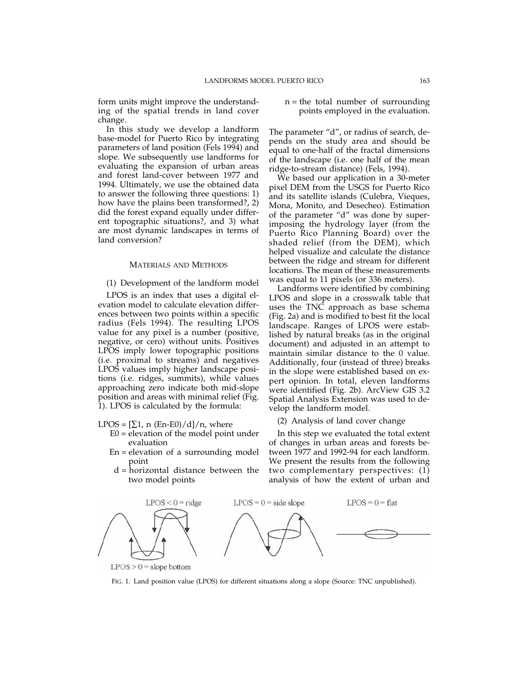form units might improve the understanding of the spatial trends in land cover change.

In this study we develop a landform base-model for Puerto Rico by integrating parameters of land position (Fels 1994) and slope. We subsequently use landforms for evaluating the expansion of urban areas and forest land-cover between 1977 and 1994. Ultimately, we use the obtained data to answer the following three questions: 1) how have the plains been transformed?, 2) did the forest expand equally under different topographic situations?, and 3) what are most dynamic landscapes in terms of land conversion?

#### MATERIALS AND METHODS

(1) Development of the landform model

LPOS is an index that uses a digital elevation model to calculate elevation differences between two points within a specific radius (Fels 1994). The resulting LPOS value for any pixel is a number (positive, negative, or cero) without units. Positives LPOS imply lower topographic positions (i.e. proximal to streams) and negatives LPOS values imply higher landscape positions (i.e. ridges, summits), while values approaching zero indicate both mid-slope position and areas with minimal relief (Fig. 1). LPOS is calculated by the formula:

LPOS =  $[\Sigma 1, n (En-E0)/d]/n$ , where

- E0 = elevation of the model point under evaluation
- En = elevation of a surrounding model point
- d = horizontal distance between the two model points

### n = the total number of surrounding points employed in the evaluation.

The parameter "d", or radius of search, depends on the study area and should be equal to one-half of the fractal dimensions of the landscape (i.e. one half of the mean ridge-to-stream distance) (Fels, 1994).

We based our application in a 30-meter pixel DEM from the USGS for Puerto Rico and its satellite islands (Culebra, Vieques, Mona, Monito, and Desecheo). Estimation of the parameter "d" was done by superimposing the hydrology layer (from the Puerto Rico Planning Board) over the shaded relief (from the DEM), which helped visualize and calculate the distance between the ridge and stream for different locations. The mean of these measurements was equal to 11 pixels (or 336 meters).

Landforms were identified by combining LPOS and slope in a crosswalk table that uses the TNC approach as base schema (Fig. 2a) and is modified to best fit the local landscape. Ranges of LPOS were established by natural breaks (as in the original document) and adjusted in an attempt to maintain similar distance to the 0 value. Additionally, four (instead of three) breaks in the slope were established based on expert opinion. In total, eleven landforms were identified (Fig. 2b). ArcView GIS 3.2 Spatial Analysis Extension was used to develop the landform model.

#### (2) Analysis of land cover change

In this step we evaluated the total extent of changes in urban areas and forests between 1977 and 1992-94 for each landform. We present the results from the following two complementary perspectives: (1) analysis of how the extent of urban and



 $LPOS > 0 = slope bottom$ 

FIG. 1. Land position value (LPOS) for different situations along a slope (Source: TNC unpublished).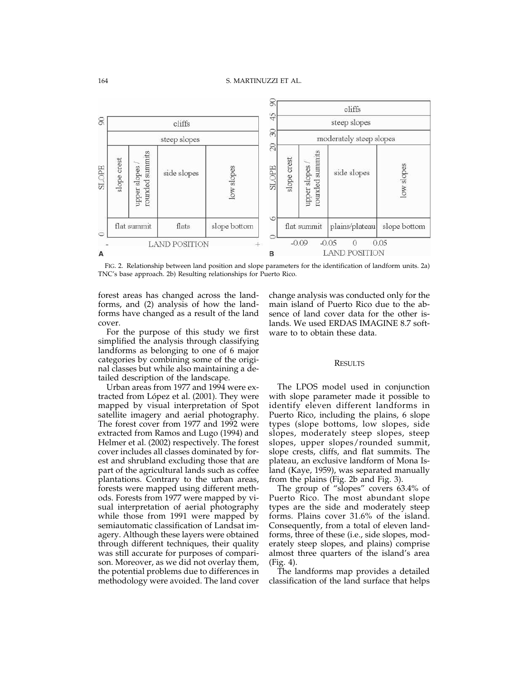

FIG. 2. Relationship between land position and slope parameters for the identification of landform units. 2a) TNC's base approach. 2b) Resulting relationships for Puerto Rico.

forest areas has changed across the landforms, and (2) analysis of how the landforms have changed as a result of the land cover.

For the purpose of this study we first simplified the analysis through classifying landforms as belonging to one of 6 major categories by combining some of the original classes but while also maintaining a detailed description of the landscape.

Urban areas from 1977 and 1994 were extracted from López et al. (2001). They were mapped by visual interpretation of Spot satellite imagery and aerial photography. The forest cover from 1977 and 1992 were extracted from Ramos and Lugo (1994) and Helmer et al. (2002) respectively. The forest cover includes all classes dominated by forest and shrubland excluding those that are part of the agricultural lands such as coffee plantations. Contrary to the urban areas, forests were mapped using different methods. Forests from 1977 were mapped by visual interpretation of aerial photography while those from 1991 were mapped by semiautomatic classification of Landsat imagery. Although these layers were obtained through different techniques, their quality was still accurate for purposes of comparison. Moreover, as we did not overlay them, the potential problems due to differences in methodology were avoided. The land cover

change analysis was conducted only for the main island of Puerto Rico due to the absence of land cover data for the other islands. We used ERDAS IMAGINE 8.7 software to to obtain these data.

#### RESULTS

The LPOS model used in conjunction with slope parameter made it possible to identify eleven different landforms in Puerto Rico, including the plains, 6 slope types (slope bottoms, low slopes, side slopes, moderately steep slopes, steep slopes, upper slopes/rounded summit, slope crests, cliffs, and flat summits. The plateau, an exclusive landform of Mona Island (Kaye, 1959), was separated manually from the plains (Fig. 2b and Fig. 3).

The group of "slopes" covers 63.4% of Puerto Rico. The most abundant slope types are the side and moderately steep forms. Plains cover 31.6% of the island. Consequently, from a total of eleven landforms, three of these (i.e., side slopes, moderately steep slopes, and plains) comprise almost three quarters of the island's area (Fig. 4).

The landforms map provides a detailed classification of the land surface that helps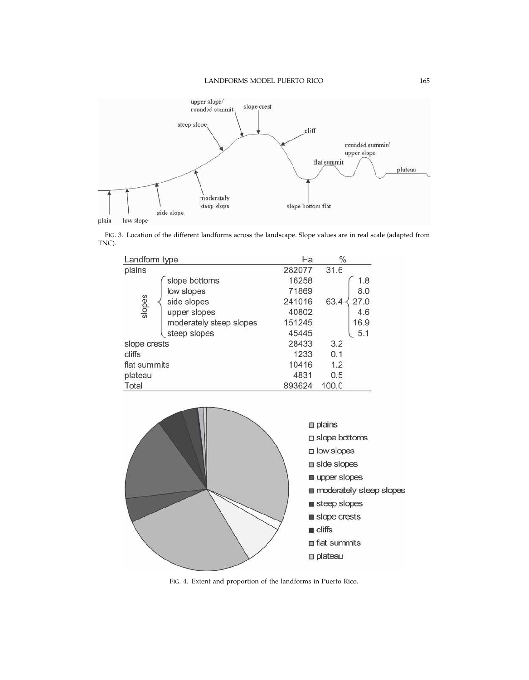

FIG. 3. Location of the different landforms across the landscape. Slope values are in real scale (adapted from TNC).

| Landform type           | Ha     | $\%$         |
|-------------------------|--------|--------------|
| plains                  | 282077 | 31.6         |
| slope bottoms           | 16258  | 1.8          |
| low slopes              | 71869  | 8.0          |
| side slopes             | 241016 | 27.0<br>63.4 |
| slopes<br>upper slopes  | 40802  | 4.6          |
| moderately steep slopes | 151245 | 16.9         |
| steep slopes            | 45445  | 5.1          |
| slope crests            | 28433  | 3.2          |
| cliffs                  | 1233   | 0.1          |
| flat summits            | 10416  | 1.2          |
| plateau                 | 4831   | 0.5          |
| Total                   | 893624 | 100.0        |



FIG. 4. Extent and proportion of the landforms in Puerto Rico.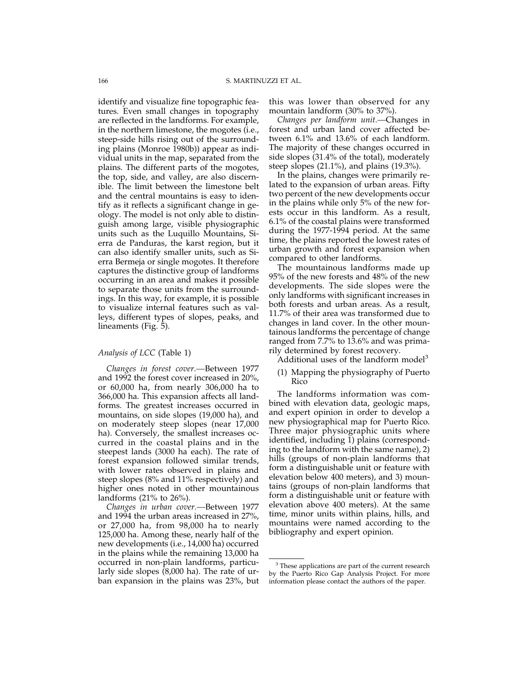identify and visualize fine topographic features. Even small changes in topography are reflected in the landforms. For example, in the northern limestone, the mogotes (i.e., steep-side hills rising out of the surrounding plains (Monroe 1980b)) appear as individual units in the map, separated from the plains. The different parts of the mogotes, the top, side, and valley, are also discernible. The limit between the limestone belt and the central mountains is easy to identify as it reflects a significant change in geology. The model is not only able to distinguish among large, visible physiographic units such as the Luquillo Mountains, Sierra de Panduras, the karst region, but it can also identify smaller units, such as Sierra Bermeja or single mogotes. It therefore captures the distinctive group of landforms occurring in an area and makes it possible to separate those units from the surroundings. In this way, for example, it is possible to visualize internal features such as valleys, different types of slopes, peaks, and lineaments (Fig. 5).

### *Analysis of LCC* (Table 1)

*Changes in forest cover.—*Between 1977 and 1992 the forest cover increased in 20%, or 60,000 ha, from nearly 306,000 ha to 366,000 ha. This expansion affects all landforms. The greatest increases occurred in mountains, on side slopes (19,000 ha), and on moderately steep slopes (near 17,000 ha). Conversely, the smallest increases occurred in the coastal plains and in the steepest lands (3000 ha each). The rate of forest expansion followed similar trends, with lower rates observed in plains and steep slopes (8% and 11% respectively) and higher ones noted in other mountainous landforms (21% to 26%).

*Changes in urban cover.—*Between 1977 and 1994 the urban areas increased in 27%, or 27,000 ha, from 98,000 ha to nearly 125,000 ha. Among these, nearly half of the new developments (i.e., 14,000 ha) occurred in the plains while the remaining 13,000 ha occurred in non-plain landforms, particularly side slopes (8,000 ha). The rate of urban expansion in the plains was 23%, but this was lower than observed for any mountain landform (30% to 37%).

*Changes per landform unit.—*Changes in forest and urban land cover affected between 6.1% and 13.6% of each landform. The majority of these changes occurred in side slopes (31.4% of the total), moderately steep slopes (21.1%), and plains (19.3%).

In the plains, changes were primarily related to the expansion of urban areas. Fifty two percent of the new developments occur in the plains while only 5% of the new forests occur in this landform. As a result, 6.1% of the coastal plains were transformed during the 1977-1994 period. At the same time, the plains reported the lowest rates of urban growth and forest expansion when compared to other landforms.

The mountainous landforms made up 95% of the new forests and 48% of the new developments. The side slopes were the only landforms with significant increases in both forests and urban areas. As a result, 11.7% of their area was transformed due to changes in land cover. In the other mountainous landforms the percentage of change ranged from 7.7% to 13.6% and was primarily determined by forest recovery.

Additional uses of the landform model<sup>3</sup>

(1) Mapping the physiography of Puerto Rico

The landforms information was combined with elevation data, geologic maps, and expert opinion in order to develop a new physiographical map for Puerto Rico. Three major physiographic units where identified, including 1) plains (corresponding to the landform with the same name), 2) hills (groups of non-plain landforms that form a distinguishable unit or feature with elevation below 400 meters), and 3) mountains (groups of non-plain landforms that form a distinguishable unit or feature with elevation above 400 meters). At the same time, minor units within plains, hills, and mountains were named according to the bibliography and expert opinion.

<sup>&</sup>lt;sup>3</sup> These applications are part of the current research by the Puerto Rico Gap Analysis Project. For more information please contact the authors of the paper.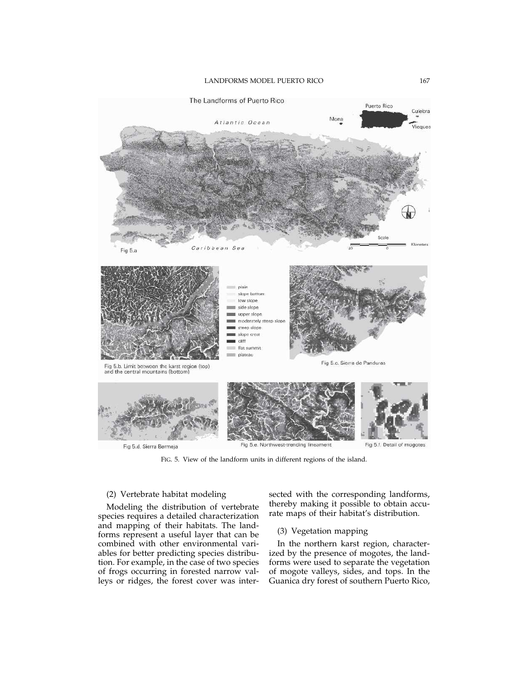

FIG. 5. View of the landform units in different regions of the island.

### (2) Vertebrate habitat modeling

Modeling the distribution of vertebrate species requires a detailed characterization and mapping of their habitats. The landforms represent a useful layer that can be combined with other environmental variables for better predicting species distribution. For example, in the case of two species of frogs occurring in forested narrow valleys or ridges, the forest cover was inter-

sected with the corresponding landforms, thereby making it possible to obtain accurate maps of their habitat's distribution.

## (3) Vegetation mapping

In the northern karst region, characterized by the presence of mogotes, the landforms were used to separate the vegetation of mogote valleys, sides, and tops. In the Guanica dry forest of southern Puerto Rico,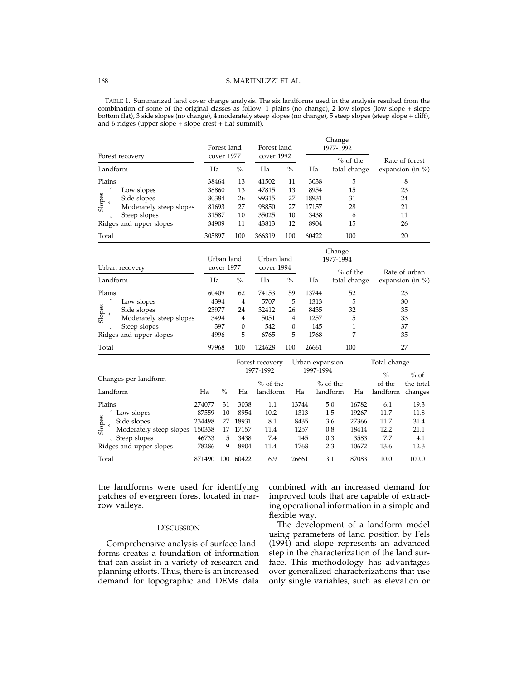### 168 S. MARTINUZZI ET AL.

TABLE 1. Summarized land cover change analysis. The six landforms used in the analysis resulted from the combination of some of the original classes as follow: 1 plains (no change), 2 low slopes (low slope + slope bottom flat), 3 side slopes (no change), 4 moderately steep slopes (no change), 5 steep slopes (steep slope + cliff), and  $6$  ridges (upper slope  $+$  slope crest  $+$  flat summit).

|                                   | Forest land |                          |                  | Forest land<br>cover 1992 |            | Change<br>1977-1992 |            |              |                      |                      |  |
|-----------------------------------|-------------|--------------------------|------------------|---------------------------|------------|---------------------|------------|--------------|----------------------|----------------------|--|
| Forest recovery                   |             | cover 1977               |                  |                           |            |                     |            | $%$ of the   |                      | Rate of forest       |  |
| Landform                          |             | Ha                       | $\frac{0}{0}$    | Ha                        | $\%$       | Ha                  |            | total change | expansion (in $\%$ ) |                      |  |
| Plains                            |             | 38464                    | 13               | 41502                     | 11         | 3038                |            | 5            |                      | 8                    |  |
| Low slopes                        |             | 38860                    | 13               | 47815                     | 13<br>8954 |                     |            | 15           | 23                   |                      |  |
| Side slopes                       |             | 80384                    | 26               | 99315                     | 27         | 18931               |            | 31           | 24                   |                      |  |
| Slopes<br>Moderately steep slopes |             | 81693                    | 27               | 98850                     | 27         | 17157               |            | 28           |                      | 21                   |  |
| Steep slopes                      |             | 31587                    | 10               | 35025                     | 10         | 3438                |            | 6            |                      | 11                   |  |
| Ridges and upper slopes           | 34909       |                          | 11               | 43813                     | 12         | 8904                |            | 15           | 26                   |                      |  |
| Total                             | 305897      |                          | 100              | 366319                    | 100        | 60422               |            | 100          |                      | 20                   |  |
|                                   |             | Urban land<br>cover 1977 |                  | Urban land<br>cover 1994  |            | Change<br>1977-1994 |            |              |                      |                      |  |
| Urban recovery                    |             |                          |                  |                           |            |                     |            | $%$ of the   |                      | Rate of urban        |  |
| Landform                          | Ha          |                          | $\frac{0}{0}$    | Ha                        | $\%$       | Ha                  |            | total change |                      | expansion (in $\%$ ) |  |
| Plains                            |             | 60409                    | 62               | 74153                     | 59         | 13744               |            | 52           |                      | 23                   |  |
| Low slopes                        |             | 4394                     | 4                | 5707                      | 5          | 1313                |            | 5            | 30<br>35             |                      |  |
| Side slopes                       |             | 23977                    | 24               | 32412                     | 26         | 8435                |            | 32           |                      |                      |  |
| Slopes<br>Moderately steep slopes |             | 3494                     | 4                | 5051                      | 4          | 1257                |            | 5            |                      | 33                   |  |
| Steep slopes                      |             | 397                      | $\boldsymbol{0}$ | 542                       | $\theta$   | 145                 |            | $\mathbf{1}$ | 37                   |                      |  |
| Ridges and upper slopes           |             | 4996                     | 5                | 6765                      | 5          | 1768                |            | 7            |                      | 35                   |  |
| Total                             | 97968       |                          | 100              | 124628                    | 100        | 26661               |            | 100          |                      | 27                   |  |
|                                   |             |                          |                  | Forest recovery           |            | Urban expansion     |            |              | Total change         |                      |  |
|                                   |             |                          |                  | 1977-1992                 |            | 1997-1994           |            |              | $\frac{0}{0}$        | $%$ of               |  |
| Changes per landform              |             |                          |                  | $%$ of the                |            |                     | $%$ of the |              | of the               | the total            |  |
| Landform                          | Ha          | $\%$                     | Ha               | landform                  |            | Ha                  | landform   | Ha           | landform changes     |                      |  |
| Plains                            | 274077      | 31                       | 3038             | 1.1                       |            | 13744               | 5.0        | 16782        | 6.1                  | 19.3                 |  |
| Low slopes                        | 87559       | 10                       | 8954             | 10.2                      |            | 1313                | 1.5        | 19267        | 11.7                 | 11.8                 |  |
| Slopes<br>Side slopes             | 234498      | 27                       | 18931            | 8.1                       |            | 8435                | 3.6        | 27366        | 11.7                 | 31.4                 |  |
| Moderately steep slopes 150338    |             | 17                       | 17157            | 11.4                      |            | 1257                | 0.8        | 18414        | 12.2                 | 21.1                 |  |
| Steep slopes                      | 46733       | 5                        | 3438             | 7.4                       |            | 145                 | 0.3        | 3583         | 7.7                  | 4.1                  |  |
| Ridges and upper slopes           | 78286       | 9                        | 8904             | 11.4                      |            | 1768                | 2.3        | 10672        | 13.6                 | 12.3                 |  |
| Total                             | 871490      |                          | 100 60422        | 6.9                       |            | 26661               | 3.1        | 87083        | 10.0                 | 100.0                |  |

the landforms were used for identifying patches of evergreen forest located in narrow valleys.

#### **DISCUSSION**

Comprehensive analysis of surface landforms creates a foundation of information that can assist in a variety of research and planning efforts. Thus, there is an increased demand for topographic and DEMs data combined with an increased demand for improved tools that are capable of extracting operational information in a simple and flexible way.

The development of a landform model using parameters of land position by Fels (1994) and slope represents an advanced step in the characterization of the land surface. This methodology has advantages over generalized characterizations that use only single variables, such as elevation or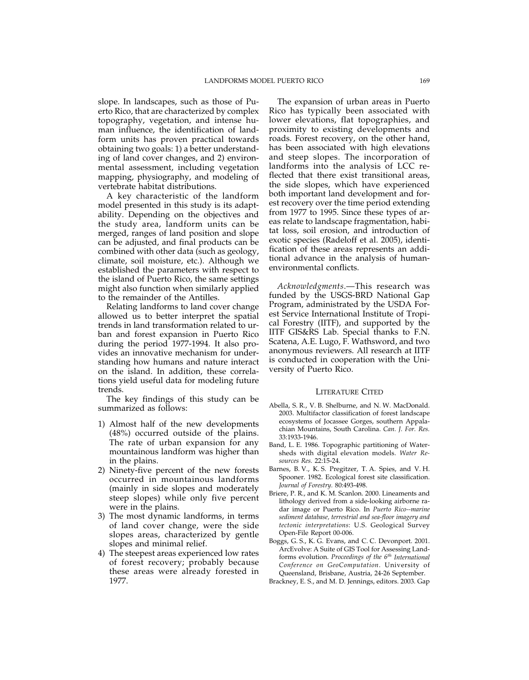slope. In landscapes, such as those of Puerto Rico, that are characterized by complex topography, vegetation, and intense human influence, the identification of landform units has proven practical towards obtaining two goals: 1) a better understanding of land cover changes, and 2) environmental assessment, including vegetation mapping, physiography, and modeling of vertebrate habitat distributions.

A key characteristic of the landform model presented in this study is its adaptability. Depending on the objectives and the study area, landform units can be merged, ranges of land position and slope can be adjusted, and final products can be combined with other data (such as geology, climate, soil moisture, etc.). Although we established the parameters with respect to the island of Puerto Rico, the same settings might also function when similarly applied to the remainder of the Antilles.

Relating landforms to land cover change allowed us to better interpret the spatial trends in land transformation related to urban and forest expansion in Puerto Rico during the period 1977-1994. It also provides an innovative mechanism for understanding how humans and nature interact on the island. In addition, these correlations yield useful data for modeling future trends.

The key findings of this study can be summarized as follows:

- 1) Almost half of the new developments (48%) occurred outside of the plains. The rate of urban expansion for any mountainous landform was higher than in the plains.
- 2) Ninety-five percent of the new forests occurred in mountainous landforms (mainly in side slopes and moderately steep slopes) while only five percent were in the plains.
- 3) The most dynamic landforms, in terms of land cover change, were the side slopes areas, characterized by gentle slopes and minimal relief.
- 4) The steepest areas experienced low rates of forest recovery; probably because these areas were already forested in 1977.

The expansion of urban areas in Puerto Rico has typically been associated with lower elevations, flat topographies, and proximity to existing developments and roads. Forest recovery, on the other hand, has been associated with high elevations and steep slopes. The incorporation of landforms into the analysis of LCC reflected that there exist transitional areas, the side slopes, which have experienced both important land development and forest recovery over the time period extending from 1977 to 1995. Since these types of areas relate to landscape fragmentation, habitat loss, soil erosion, and introduction of exotic species (Radeloff et al. 2005), identification of these areas represents an additional advance in the analysis of humanenvironmental conflicts.

*Acknowledgments*.—This research was funded by the USGS-BRD National Gap Program, administrated by the USDA Forest Service International Institute of Tropical Forestry (IITF), and supported by the IITF GIS&RS Lab. Special thanks to F.N. Scatena, A.E. Lugo, F. Wathsword, and two anonymous reviewers. All research at IITF is conducted in cooperation with the University of Puerto Rico.

## LITERATURE CITED

- Abella, S. R., V. B. Shelburne, and N. W. MacDonald. 2003. Multifactor classification of forest landscape ecosystems of Jocassee Gorges, southern Appalachian Mountains, South Carolina. *Can. J. For. Res.* 33:1933-1946.
- Band, L. E. 1986. Topographic partitioning of Watersheds with digital elevation models. *Water Resources Res.* 22:15-24.
- Barnes, B. V., K. S. Pregitzer, T. A. Spies, and V. H. Spooner. 1982. Ecological forest site classification. *Journal of Forestry.* 80:493-498.
- Briere, P. R., and K. M. Scanlon. 2000. Lineaments and lithology derived from a side-looking airborne radar image or Puerto Rico. In *Puerto Rico--marine sediment database, terrestrial and sea-floor imagery and tectonic interpretations*: U.S. Geological Survey Open-File Report 00-006.
- Boggs, G. S., K. G. Evans, and C. C. Devonport. 2001. ArcEvolve: A Suite of GIS Tool for Assessing Landforms evolution. *Proceedings of the 6th International Conference on GeoComputation*. University of Queensland, Brisbane, Austria, 24-26 September.
- Brackney, E. S., and M. D. Jennings, editors. 2003. Gap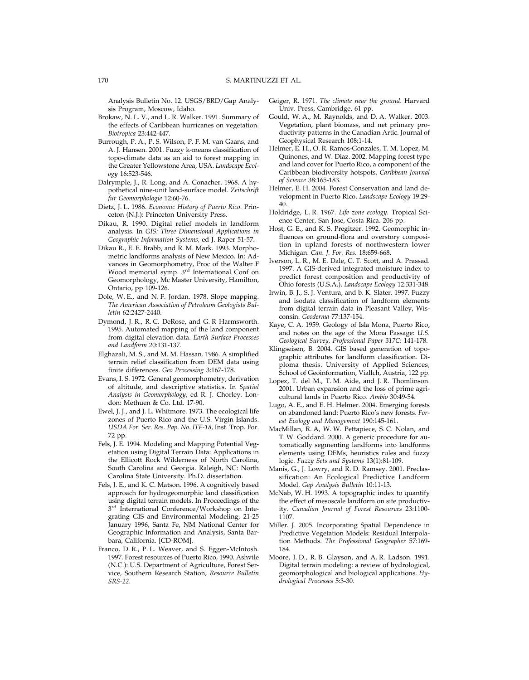Analysis Bulletin No. 12. USGS/BRD/Gap Analysis Program, Moscow, Idaho.

- Brokaw, N. L. V., and L. R. Walker. 1991. Summary of the effects of Caribbean hurricanes on vegetation. *Biotropica* 23:442-447.
- Burrough, P. A., P. S. Wilson, P. F. M. van Gaans, and A. J. Hansen. 2001. Fuzzy k-means classification of topo-climate data as an aid to forest mapping in the Greater Yellowstone Area, USA. *Landscape Ecology* 16:523-546.
- Dalrymple, J., R. Long, and A. Conacher. 1968. A hypothetical nine-unit land-surface model. *Zeitschrift fur Geomorphologie* 12:60-76.
- Dietz, J. L. 1986. *Economic History of Puerto Rico*. Princeton (N.J.): Princeton University Press.
- Dikau, R. 1990. Digital relief models in landform analysis. In *GIS: Three Dimensional Applications in Geographic Information Systems,* ed J. Raper 51-57.
- Dikau R., E. E. Brabb, and R. M. Mark. 1993. Morphometric landforms analysis of New Mexico. In: Advances in Geomorphometry, Proc of the Walter F Wood memorial symp. 3<sup>rd</sup> International Conf on Geomorphology, Mc Master University, Hamilton, Ontario, pp 109-126.
- Dole, W. E., and N. F. Jordan. 1978. Slope mapping. *The American Association of Petroleum Geologists Bulletin* 62:2427-2440.
- Dymond, J. R., R. C. DeRose, and G. R Harmsworth. 1995. Automated mapping of the land component from digital elevation data. *Earth Surface Processes and Landform* 20:131-137.
- Elghazali, M. S., and M. M. Hassan. 1986. A simplified terrain relief classification from DEM data using finite differences. *Geo Processing* 3:167-178.
- Evans, I. S. 1972. General geomorphometry, derivation of altitude, and descriptive statistics. In *Spatial Analysis in Geomorphology*, ed R. J. Chorley. London: Methuen & Co. Ltd. 17-90.
- Ewel, J. J., and J. L. Whitmore. 1973. The ecological life zones of Puerto Rico and the U.S. Virgin Islands. *USDA For. Ser. Res. Pap. No. ITF-18*, Inst. Trop. For. 72 pp.
- Fels, J. E. 1994. Modeling and Mapping Potential Vegetation using Digital Terrain Data: Applications in the Ellicott Rock Wilderness of North Carolina, South Carolina and Georgia. Raleigh, NC: North Carolina State University. Ph.D. dissertation.
- Fels, J. E., and K. C. Matson. 1996. A cognitively based approach for hydrogeomorphic land classification using digital terrain models. In Proceedings of the 3rd International Conference/Workshop on Integrating GIS and Environmental Modeling, 21-25 January 1996, Santa Fe, NM National Center for Geographic Information and Analysis, Santa Barbara, California. [CD-ROM].
- Franco, D. R., P. L. Weaver, and S. Eggen-McIntosh. 1997. Forest resources of Puerto Rico, 1990. Ashvile (N.C.): U.S. Department of Agriculture, Forest Service, Southern Research Station, *Resource Bulletin SRS-22*.
- Geiger, R. 1971. *The climate near the ground*. Harvard Univ. Press, Cambridge, 61 pp.
- Gould, W. A., M. Raynolds, and D. A. Walker. 2003. Vegetation, plant biomass, and net primary productivity patterns in the Canadian Artic. Journal of Geophysical Research 108:1-14.
- Helmer, E. H., O. R. Ramos-Gonzales, T. M. Lopez, M. Quinones, and W. Diaz. 2002. Mapping forest type and land cover for Puerto Rico, a component of the Caribbean biodiversity hotspots. *Caribbean Journal of Science* 38:165-183.
- Helmer, E. H. 2004. Forest Conservation and land development in Puerto Rico. *Landscape Ecology* 19:29- 40.
- Holdridge, L. R. 1967. *Life zone ecology*. Tropical Science Center, San Jose, Costa Rica. 206 pp.
- Host, G. E., and K. S. Pregitzer. 1992. Geomorphic influences on ground-flora and overstory composition in upland forests of northwestern lower Michigan. *Can. J. For. Res.* 18:659-668.
- Iverson, L. R., M. E. Dale, C. T. Scott, and A. Prassad. 1997. A GIS-derived integrated moisture index to predict forest composition and productivity of Ohio forests (U.S.A.). *Landscape Ecology* 12:331-348.
- Irwin, B. J., S. J. Ventura, and b. K. Slater. 1997. Fuzzy and isodata classification of landform elements from digital terrain data in Pleasant Valley, Wisconsin. *Geoderma* 77:137-154.
- Kaye, C. A. 1959. Geology of Isla Mona, Puerto Rico, and notes on the age of the Mona Passage: *U.S. Geological Survey, Professional Paper 317C*: 141-178.
- Klingseisen, B. 2004. GIS based generation of topographic attributes for landform classification. Diploma thesis. University of Applied Sciences, School of Geoinformation, Viallch, Austria, 122 pp.
- Lopez, T. del M., T. M. Aide, and J. R. Thomlinson. 2001. Urban expansion and the loss of prime agricultural lands in Puerto Rico. *Ambio* 30:49-54.
- Lugo, A. E., and E. H. Helmer. 2004. Emerging forests on abandoned land: Puerto Rico's new forests. *Forest Ecology and Management* 190:145-161.
- MacMillan, R. A, W. W. Pettapiece, S. C. Nolan, and T. W. Goddard. 2000. A generic procedure for automatically segmenting landforms into landforms elements using DEMs, heuristics rules and fuzzy logic. *Fuzzy Sets and Systems* 13(1):81-109.
- Manis, G., J. Lowry, and R. D. Ramsey. 2001. Preclassification: An Ecological Predictive Landform Model. *Gap Analysis Bulletin* 10:11-13.
- McNab, W. H. 1993. A topographic index to quantify the effect of mesoscale landform on site productivity. *Canadian Journal of Forest Resources* 23:1100- 1107.
- Miller. J. 2005. Incorporating Spatial Dependence in Predictive Vegetation Models: Residual Interpolation Methods. *The Professional Geographer* 57:169- 184.
- Moore, I. D., R. B. Glayson, and A. R. Ladson. 1991. Digital terrain modeling: a review of hydrological, geomorphological and biological applications. *Hydrological Processes* 5:3-30.